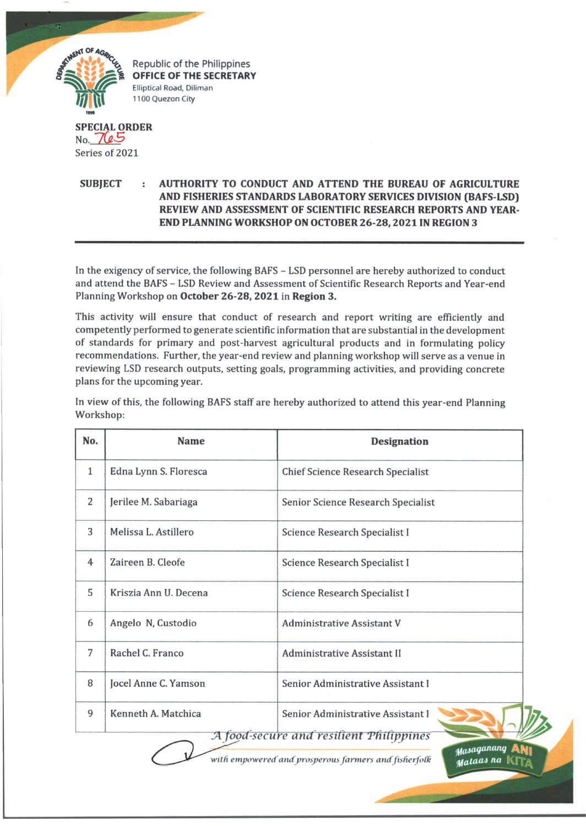

Republic of the Philippines OFFICE OF THE SECRETARY Elliptical Road, Diliman 1100 Quezon City

**SPECIAL ORDER** No. 7 *U S* Series of 2021

**SUBJECT : AUTHORITY TO CONDUCT AND ATTEND THE BUREAU OF AGRICULTURE AND FISHERIES STANDARDS LABORATORY SERVICES DIVISION (BAFS-LSD) REVIEW AND ASSESSMENT OF SCIENTIFIC RESEARCH REPORTS AND YEAR-END PLANNING WORKSHOP ON OCTOBER 26-28,2021 IN REGION 3**

In the exigency of service, the following BAFS - LSD personnel are hereby authorized to conduct and attend the BAFS - LSD Review and Assessment of Scientific Research Reports and Year-end Planning Workshop on **October 26-28, 2021** in **Region 3.**

This activity will ensure that conduct of research and report writing are efficiently and competently performed to generate scientific information that are substantial in the development of standards for primary and post-harvest agricultural products and in formulating policy recommendations. Further, the year-end review and planning workshop will serve as a venue in reviewing LSD research outputs, setting goals, programming activities, and providing concrete plans for the upcoming year.

In view of this, the following BAFS staff are hereby authorized to attend this year-end Planning Workshop:

| No.            | <b>Name</b>           | <b>Designation</b>                       |
|----------------|-----------------------|------------------------------------------|
| $\mathbf{1}$   | Edna Lynn S. Floresca | <b>Chief Science Research Specialist</b> |
| 2              | Jerilee M. Sabariaga  | Senior Science Research Specialist       |
| 3              | Melissa L. Astillero  | Science Research Specialist I            |
| $\overline{4}$ | Zaireen B. Cleofe     | Science Research Specialist I            |
| 5              | Kriszia Ann U. Decena | Science Research Specialist I            |
| 6              | Angelo N, Custodio    | Administrative Assistant V               |
| 7              | Rachel C. Franco      | Administrative Assistant II              |
| 8              | Jocel Anne C. Yamson  | Senior Administrative Assistant I        |
| 9              | Kenneth A. Matchica   | Senior Administrative Assistant I        |
|                |                       | A food-secure and resilient Philippines  |

with empowered and prosperous farmers and fisherfolk

Masaganang **Mataas na**